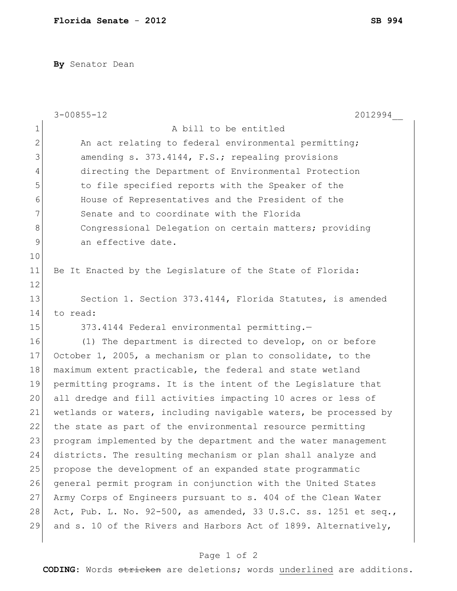**By** Senator Dean

|                | $3 - 00855 - 12$<br>2012994                                      |
|----------------|------------------------------------------------------------------|
| $\mathbf 1$    | A bill to be entitled                                            |
| $\overline{2}$ | An act relating to federal environmental permitting;             |
| 3              | amending s. 373.4144, F.S.; repealing provisions                 |
| 4              | directing the Department of Environmental Protection             |
| 5              | to file specified reports with the Speaker of the                |
| 6              | House of Representatives and the President of the                |
| 7              | Senate and to coordinate with the Florida                        |
| 8              | Congressional Delegation on certain matters; providing           |
| $\mathsf{S}$   | an effective date.                                               |
| 10             |                                                                  |
| 11             | Be It Enacted by the Legislature of the State of Florida:        |
| 12             |                                                                  |
| 13             | Section 1. Section 373.4144, Florida Statutes, is amended        |
| 14             | to read:                                                         |
| 15             | 373.4144 Federal environmental permitting.-                      |
| 16             | (1) The department is directed to develop, on or before          |
| 17             | October 1, 2005, a mechanism or plan to consolidate, to the      |
| 18             | maximum extent practicable, the federal and state wetland        |
| 19             | permitting programs. It is the intent of the Legislature that    |
| 20             | all dredge and fill activities impacting 10 acres or less of     |
| 21             | wetlands or waters, including navigable waters, be processed by  |
| 22             | the state as part of the environmental resource permitting       |
| 23             | program implemented by the department and the water management   |
| 24             | districts. The resulting mechanism or plan shall analyze and     |
| 25             | propose the development of an expanded state programmatic        |
| 26             | general permit program in conjunction with the United States     |
| 27             | Army Corps of Engineers pursuant to s. 404 of the Clean Water    |
| 28             | Act, Pub. L. No. 92-500, as amended, 33 U.S.C. ss. 1251 et seq., |
| 29             | and s. 10 of the Rivers and Harbors Act of 1899. Alternatively,  |
|                |                                                                  |

## Page 1 of 2

**CODING**: Words stricken are deletions; words underlined are additions.